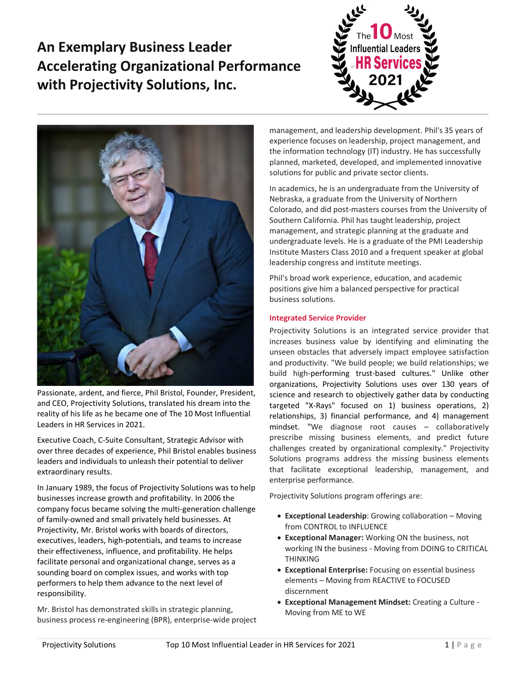# **An Exemplary Business Leader Accelerating Organizational Performance with Projectivity Solutions, Inc.**





Passionate, ardent, and fierce, Phil Bristol, Founder, President, and CEO, Projectivity Solutions, translated his dream into the reality of his life as he became one of The 10 Most Influential Leaders in HR Services in 2021.

Executive Coach, C-Suite Consultant, Strategic Advisor with over three decades of experience, Phil Bristol enables business leaders and individuals to unleash their potential to deliver extraordinary results.

In January 1989, the focus of Projectivity Solutions was to help businesses increase growth and profitability. In 2006 the company focus became solving the multi-generation challenge of family-owned and small privately held businesses. At Projectivity, Mr. Bristol works with boards of directors, executives, leaders, high-potentials, and teams to increase their effectiveness, influence, and profitability. He helps facilitate personal and organizational change, serves as a sounding board on complex issues, and works with top performers to help them advance to the next level of responsibility.

Mr. Bristol has demonstrated skills in strategic planning, business process re-engineering (BPR), enterprise-wide project management, and leadership development. Phil's 35 years of experience focuses on leadership, project management, and the information technology (IT) industry. He has successfully planned, marketed, developed, and implemented innovative solutions for public and private sector clients.

In academics, he is an undergraduate from the University of Nebraska, a graduate from the University of Northern Colorado, and did post-masters courses from the University of Southern California. Phil has taught leadership, project management, and strategic planning at the graduate and undergraduate levels. He is a graduate of the PMI Leadership Institute Masters Class 2010 and a frequent speaker at global leadership congress and institute meetings.

Phil's broad work experience, education, and academic positions give him a balanced perspective for practical business solutions.

# **Integrated Service Provider**

Projectivity Solutions is an integrated service provider that increases business value by identifying and eliminating the unseen obstacles that adversely impact employee satisfaction and productivity. "We build people; we build relationships; we build high-performing trust-based cultures." Unlike other organizations, Projectivity Solutions uses over 130 years of science and research to objectively gather data by conducting targeted "X-Rays" focused on 1) business operations, 2) relationships, 3) financial performance, and 4) management mindset. "We diagnose root causes – collaboratively prescribe missing business elements, and predict future challenges created by organizational complexity." Projectivity Solutions programs address the missing business elements that facilitate exceptional leadership, management, and enterprise performance.

Projectivity Solutions program offerings are:

- **Exceptional Leadership**: Growing collaboration Moving from CONTROL to INFLUENCE
- **Exceptional Manager:** Working ON the business, not working IN the business - Moving from DOING to CRITICAL THINKING
- **Exceptional Enterprise:** Focusing on essential business elements – Moving from REACTIVE to FOCUSED discernment
- **Exceptional Management Mindset:** Creating a Culture Moving from ME to WE